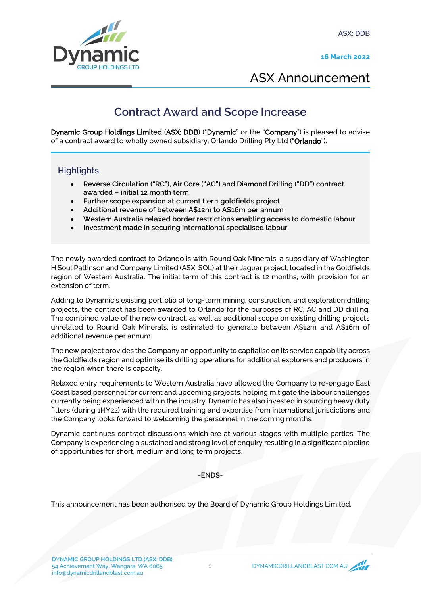**ASX: DDB**

**16 March 2022**



ASX Announcement

## **Contract Award and Scope Increase**

Dynamic Group Holdings Limited (ASX: DDB) ("Dynamic" or the "Company") is pleased to advise of a contract award to wholly owned subsidiary, Orlando Drilling Pty Ltd ("Orlando").

### **Highlights**

- **Reverse Circulation ("RC"), Air Core ("AC") and Diamond Drilling ("DD") contract awarded – initial 12 month term**
- **Further scope expansion at current tier 1 goldfields project**
- **Additional revenue of between A\$12m to A\$16m per annum**
- **Western Australia relaxed border restrictions enabling access to domestic labour**
- **Investment made in securing international specialised labour**

The newly awarded contract to Orlando is with Round Oak Minerals, a subsidiary of Washington H Soul Pattinson and Company Limited (ASX: SOL) at their Jaguar project, located in the Goldfields region of Western Australia. The initial term of this contract is 12 months, with provision for an extension of term.

Adding to Dynamic's existing portfolio of long-term mining, construction, and exploration drilling projects, the contract has been awarded to Orlando for the purposes of RC, AC and DD drilling. The combined value of the new contract, as well as additional scope on existing drilling projects unrelated to Round Oak Minerals, is estimated to generate between A\$12m and A\$16m of additional revenue per annum.

The new project provides the Company an opportunity to capitalise on its service capability across the Goldfields region and optimise its drilling operations for additional explorers and producers in the region when there is capacity.

Relaxed entry requirements to Western Australia have allowed the Company to re-engage East Coast based personnel for current and upcoming projects, helping mitigate the labour challenges currently being experienced within the industry. Dynamic has also invested in sourcing heavy duty fitters (during 1HY22) with the required training and expertise from international jurisdictions and the Company looks forward to welcoming the personnel in the coming months.

Dynamic continues contract discussions which are at various stages with multiple parties. The Company is experiencing a sustained and strong level of enquiry resulting in a significant pipeline of opportunities for short, medium and long term projects.

**-ENDS-**

This announcement has been authorised by the Board of Dynamic Group Holdings Limited.